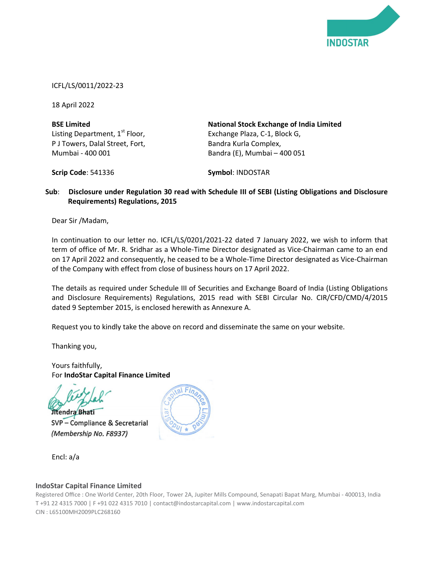

ICFL/LS/0011/2022-23

18 April 2022

| <b>BSE Limited</b>                         | <b>National Stock Exchange of India Limited</b> |
|--------------------------------------------|-------------------------------------------------|
| Listing Department, 1 <sup>st</sup> Floor, | Exchange Plaza, C-1, Block G,                   |
| P J Towers, Dalal Street, Fort,            | Bandra Kurla Complex,                           |
| Mumbai - 400 001                           | Bandra (E), Mumbai - 400 051                    |

Scrip Code: 541336

Symbol: INDOSTAR

## Sub: Disclosure under Regulation 30 read with Schedule III of SEBI (Listing Obligations and Disclosure Requirements) Regulations, 2015

Dear Sir /Madam,

In continuation to our letter no. ICFL/LS/0201/2021-22 dated 7 January 2022, we wish to inform that term of office of Mr. R. Sridhar as a Whole-Time Director designated as Vice-Chairman came to an end on 17 April 2022 and consequently, he ceased to be a Whole-Time Director designated as Vice-Chairman of the Company with effect from close of business hours on 17 April 2022.

The details as required under Schedule III of Securities and Exchange Board of India (Listing Obligations and Disclosure Requirements) Regulations, 2015 read with SEBI Circular No. CIR/CFD/CMD/4/2015 dated 9 September 2015, is enclosed herewith as Annexure A.

Request you to kindly take the above on record and disseminate the same on your website.

Thanking you,

Yours faithfully, For IndoStar Capital Finance Limited

Jitendra Bhati

SVP - Compliance & Secretarial (Membership No. F8937)

Encl: a/a

## IndoStar Capital Finance Limited

Registered Office : One World Center, 20th Floor, Tower 2A, Jupiter Mills Compound, Senapati Bapat Marg, Mumbai - 400013, India T +91 22 4315 7000 | F +91 022 4315 7010 | contact@indostarcapital.com | www.indostarcapital.com CIN : L65100MH2009PLC268160